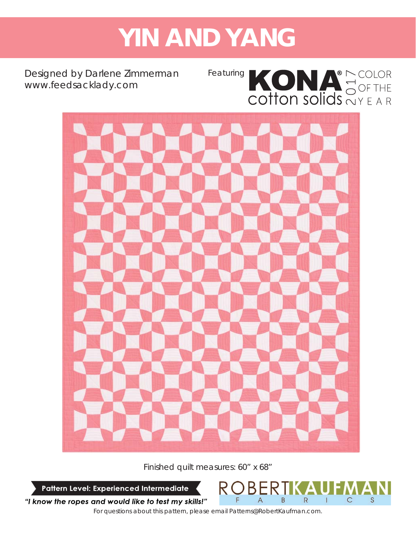# **YIN AND YANG**

Designed by Darlene Zimmerman *www.feedsacklady.com*

Featuring KONA<sup>®</sup> COLOR<br>COTTON SOLICIS OF THE



Finished quilt measures: 60" x 68"

Pattern Level: Experienced Intermediate

F

"I know the ropes and would like to test my skills!"

*For questions about this pattern, please email Patterns@RobertKaufman.com.*

B

 $\Delta$ 

R

 $\mathbf{I}$ 

 $\mathsf{C}$ 

S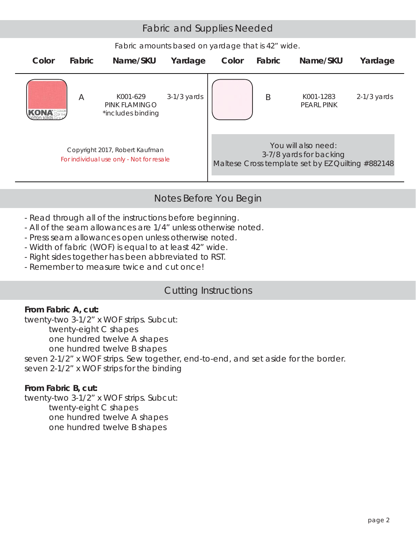## Fabric and Supplies Needed

*Fabric amounts based on yardage that is 42" wide.*



## Notes Before You Begin

- Read through all of the instructions before beginning.
- All of the seam allowances are 1/4" unless otherwise noted.
- Press seam allowances open unless otherwise noted.
- Width of fabric (WOF) is equal to at least 42" wide.
- Right sides together has been abbreviated to RST.
- Remember to measure twice and cut once!

## Cutting Instructions

#### **From Fabric A, cut:**

twenty-two 3-1/2" x WOF strips. Subcut: twenty-eight C shapes one hundred twelve A shapes one hundred twelve B shapes seven 2-1/2" x WOF strips. Sew together, end-to-end, and set aside for the border.

seven 2-1/2" x WOF strips for the binding

### **From Fabric B, cut:**

twenty-two 3-1/2" x WOF strips. Subcut: twenty-eight C shapes one hundred twelve A shapes one hundred twelve B shapes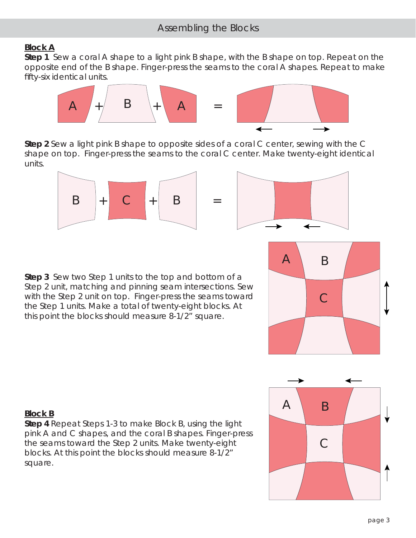# Assembling the Blocks

#### *Block A*

**Step 1** Sew a coral A shape to a light pink B shape, with the B shape on top. Repeat on the opposite end of the B shape. Finger-press the seams to the coral A shapes. Repeat to make fifty-six identical units.



**Step 2** Sew a light pink B shape to opposite sides of a coral C center, sewing with the C shape on top. Finger-press the seams to the coral C center. Make twenty-eight identical units.





**Step 3** Sew two Step 1 units to the top and bottom of a Step 2 unit, matching and pinning seam intersections. Sew with the Step 2 unit on top. Finger-press the seams toward the Step 1 units. Make a total of twenty-eight blocks. At this point the blocks should measure 8-1/2" square.





#### *Block B*

**Step 4** Repeat Steps 1-3 to make Block B, using the light pink A and C shapes, and the coral B shapes. Finger-press the seams toward the Step 2 units. Make twenty-eight blocks. At this point the blocks should measure 8-1/2" square.